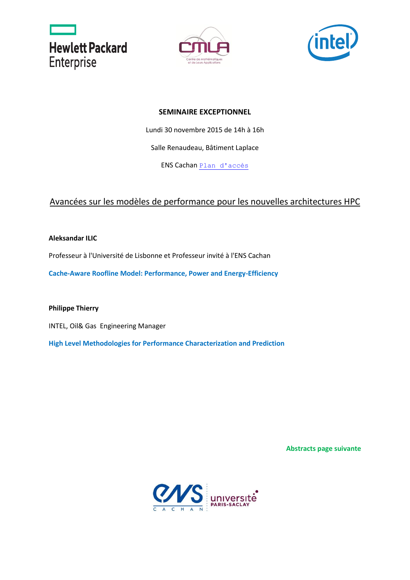





## **SEMINAIRE EXCEPTIONNEL**

Lundi 30 novembre 2015 de 14h à 16h

Salle Renaudeau, Bâtiment Laplace

ENS Cachan [Plan d'accès](http://www.cmla.ens-cachan.fr/version-francaise/outils/plan-d-acces/)

## Avancées sur les modèles de performance pour les nouvelles architectures HPC

**Aleksandar ILIC** 

Professeur à l'Université de Lisbonne et Professeur invité à l'ENS Cachan

**Cache-Aware Roofline Model: Performance, Power and Energy-Efficiency** 

**Philippe Thierry** 

INTEL, Oil& Gas Engineering Manager

**High Level Methodologies for Performance Characterization and Prediction** 

**Abstracts page suivante**